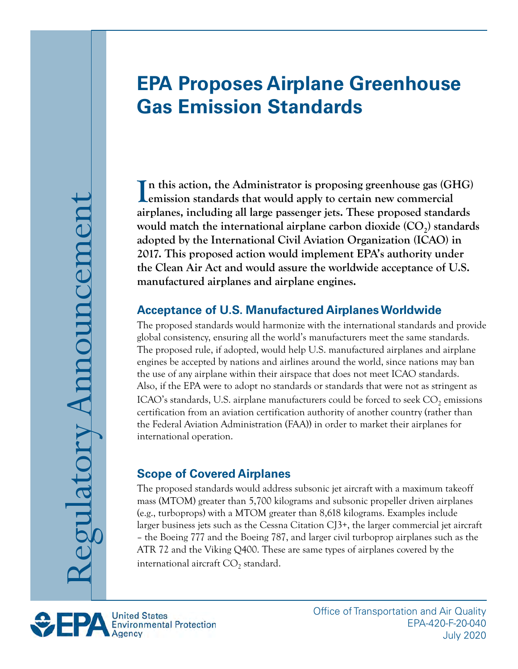# **EPA Proposes Airplane Greenhouse Gas Emission Standards**

In this action, the Administrator is proposing greenhouse gas (GHG) emission standards that would apply to certain new commercial **Lemission standards that would apply to certain new commercial airplanes, including all large passenger jets. These proposed standards**  would match the international airplane carbon dioxide (CO<sub>2</sub>) standards **adopted by the International Civil Aviation Organization (ICAO) in 2017. This proposed action would implement EPA's authority under the Clean Air Act and would assure the worldwide acceptance of U.S. manufactured airplanes and airplane engines.** 

#### **Acceptance of U.S. Manufactured Airplanes Worldwide**

The proposed standards would harmonize with the international standards and provide global consistency, ensuring all the world's manufacturers meet the same standards. The proposed rule, if adopted, would help U.S. manufactured airplanes and airplane engines be accepted by nations and airlines around the world, since nations may ban the use of any airplane within their airspace that does not meet ICAO standards. Also, if the EPA were to adopt no standards or standards that were not as stringent as ICAO's standards, U.S. airplane manufacturers could be forced to seek  $CO<sub>2</sub>$  emissions certification from an aviation certification authority of another country (rather than the Federal Aviation Administration (FAA)) in order to market their airplanes for international operation.

#### **Scope of Covered Airplanes**

The proposed standards would address subsonic jet aircraft with a maximum takeoff mass (MTOM) greater than 5,700 kilograms and subsonic propeller driven airplanes (e.g., turboprops) with a MTOM greater than 8,618 kilograms. Examples include larger business jets such as the Cessna Citation CJ3+, the larger commercial jet aircraft – the Boeing 777 and the Boeing 787, and larger civil turboprop airplanes such as the ATR 72 and the Viking Q400. These are same types of airplanes covered by the international aircraft  $CO<sub>2</sub>$  standard.



Office of Transportation and Air Quality EPA-420-F-20-040 July 2020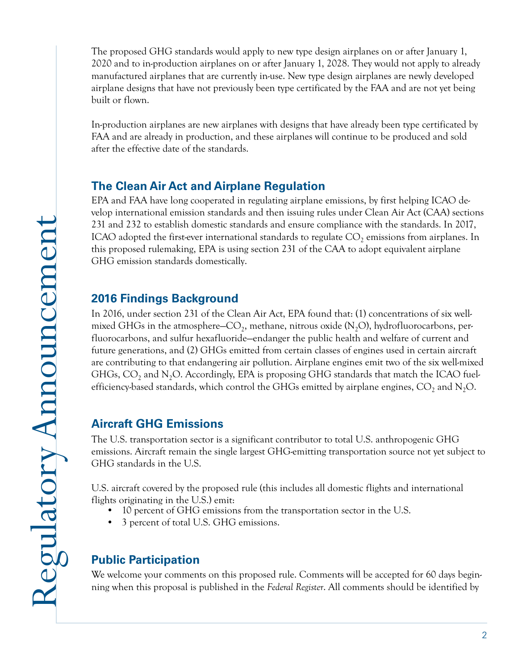The proposed GHG standards would apply to new type design airplanes on or after January 1, 2020 and to in-production airplanes on or after January 1, 2028. They would not apply to already manufactured airplanes that are currently in-use. New type design airplanes are newly developed airplane designs that have not previously been type certificated by the FAA and are not yet being built or flown.

In-production airplanes are new airplanes with designs that have already been type certificated by FAA and are already in production, and these airplanes will continue to be produced and sold after the effective date of the standards.

## **The Clean Air Act and Airplane Regulation**

EPA and FAA have long cooperated in regulating airplane emissions, by first helping ICAO develop international emission standards and then issuing rules under Clean Air Act (CAA) sections 231 and 232 to establish domestic standards and ensure compliance with the standards. In 2017, ICAO adopted the first-ever international standards to regulate  $\mathrm{CO}_2$  emissions from airplanes. In this proposed rulemaking, EPA is using section 231 of the CAA to adopt equivalent airplane GHG emission standards domestically.

### **2016 Findings Background**

In 2016, under section 231 of the Clean Air Act, EPA found that: (1) concentrations of six wellmixed GHGs in the atmosphere–CO<sub>2</sub>, methane, nitrous oxide (N<sub>2</sub>O), hydrofluorocarbons, perfluorocarbons, and sulfur hexafluoride—endanger the public health and welfare of current and future generations, and (2) GHGs emitted from certain classes of engines used in certain aircraft are contributing to that endangering air pollution. Airplane engines emit two of the six well-mixed GHGs,  $\text{CO}_2$  and N<sub>2</sub>O. Accordingly, EPA is proposing GHG standards that match the ICAO fuelefficiency-based standards, which control the GHGs emitted by airplane engines,  $\text{CO}_2$  and  $\text{N}_2\text{O}$ .

## **Aircraft GHG Emissions**

The U.S. transportation sector is a significant contributor to total U.S. anthropogenic GHG emissions. Aircraft remain the single largest GHG-emitting transportation source not yet subject to GHG standards in the U.S.

U.S. aircraft covered by the proposed rule (this includes all domestic flights and international flights originating in the U.S.) emit:

- 10 percent of GHG emissions from the transportation sector in the U.S.
- 3 percent of total U.S. GHG emissions.

# **Public Participation**

We welcome your comments on this proposed rule. Comments will be accepted for 60 days beginning when this proposal is published in the *Federal Register*. All comments should be identified by